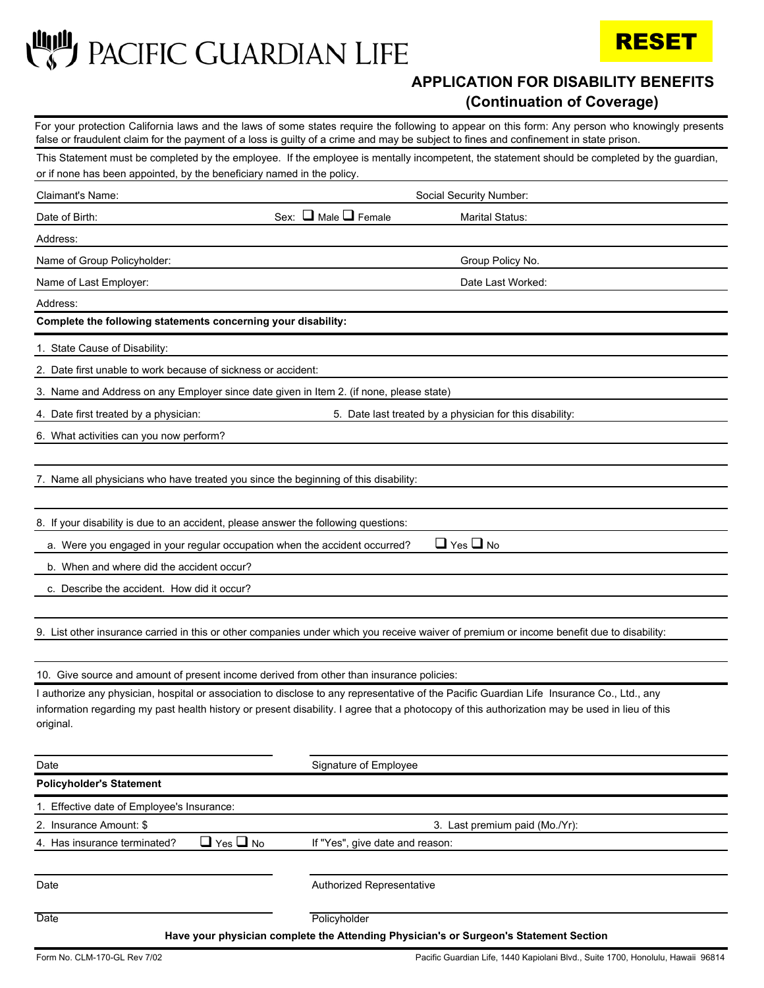**LULL** PACIFIC GUARDIAN LIFE



## **APPLICATION FOR DISABILITY BENEFITS (Continuation of Coverage)**

For your protection California laws and the laws of some states require the following to appear on this form: Any person who knowingly presents false or fraudulent claim for the payment of a loss is guilty of a crime and may be subject to fines and confinement in state prison.

| or if none has been appointed, by the beneficiary named in the policy.                   | This Statement must be completed by the employee. If the employee is mentally incompetent, the statement should be completed by the guardian,                                                                                                                                                |  |
|------------------------------------------------------------------------------------------|----------------------------------------------------------------------------------------------------------------------------------------------------------------------------------------------------------------------------------------------------------------------------------------------|--|
| Claimant's Name:                                                                         | Social Security Number:                                                                                                                                                                                                                                                                      |  |
| Date of Birth:                                                                           | Sex: $\Box$ Male $\Box$ Female<br><b>Marital Status:</b>                                                                                                                                                                                                                                     |  |
| Address:                                                                                 |                                                                                                                                                                                                                                                                                              |  |
| Name of Group Policyholder:                                                              | Group Policy No.                                                                                                                                                                                                                                                                             |  |
| Name of Last Employer:                                                                   | Date Last Worked:                                                                                                                                                                                                                                                                            |  |
| Address:                                                                                 |                                                                                                                                                                                                                                                                                              |  |
| Complete the following statements concerning your disability:                            |                                                                                                                                                                                                                                                                                              |  |
| 1. State Cause of Disability:                                                            |                                                                                                                                                                                                                                                                                              |  |
| 2. Date first unable to work because of sickness or accident:                            |                                                                                                                                                                                                                                                                                              |  |
| 3. Name and Address on any Employer since date given in Item 2. (if none, please state)  |                                                                                                                                                                                                                                                                                              |  |
| 4. Date first treated by a physician:                                                    | 5. Date last treated by a physician for this disability:                                                                                                                                                                                                                                     |  |
| 6. What activities can you now perform?                                                  |                                                                                                                                                                                                                                                                                              |  |
|                                                                                          |                                                                                                                                                                                                                                                                                              |  |
| 7. Name all physicians who have treated you since the beginning of this disability:      |                                                                                                                                                                                                                                                                                              |  |
|                                                                                          |                                                                                                                                                                                                                                                                                              |  |
| 8. If your disability is due to an accident, please answer the following questions:      |                                                                                                                                                                                                                                                                                              |  |
| a. Were you engaged in your regular occupation when the accident occurred?               | $\Box$ Yes $\Box$ No                                                                                                                                                                                                                                                                         |  |
| b. When and where did the accident occur?                                                |                                                                                                                                                                                                                                                                                              |  |
| c. Describe the accident. How did it occur?                                              |                                                                                                                                                                                                                                                                                              |  |
|                                                                                          |                                                                                                                                                                                                                                                                                              |  |
|                                                                                          | 9. List other insurance carried in this or other companies under which you receive waiver of premium or income benefit due to disability:                                                                                                                                                    |  |
|                                                                                          |                                                                                                                                                                                                                                                                                              |  |
| 10. Give source and amount of present income derived from other than insurance policies: |                                                                                                                                                                                                                                                                                              |  |
| original.                                                                                | I authorize any physician, hospital or association to disclose to any representative of the Pacific Guardian Life Insurance Co., Ltd., any<br>information regarding my past health history or present disability. I agree that a photocopy of this authorization may be used in lieu of this |  |
| Date                                                                                     | Signature of Employee                                                                                                                                                                                                                                                                        |  |
| <b>Policyholder's Statement</b>                                                          |                                                                                                                                                                                                                                                                                              |  |
| 1. Effective date of Employee's Insurance:                                               |                                                                                                                                                                                                                                                                                              |  |
| 2. Insurance Amount: \$                                                                  | 3. Last premium paid (Mo./Yr):                                                                                                                                                                                                                                                               |  |
| $\Box$ Yes $\Box$ No<br>4. Has insurance terminated?                                     | If "Yes", give date and reason:                                                                                                                                                                                                                                                              |  |
|                                                                                          |                                                                                                                                                                                                                                                                                              |  |
| Date                                                                                     | Authorized Representative                                                                                                                                                                                                                                                                    |  |
| Date                                                                                     | Policyholder<br>Have your physician complete the Attending Physician's or Surgeon's Statement Section                                                                                                                                                                                        |  |

Form No. CLM-170-GL Rev 7/02 Pacific Guardian Life, 1440 Kapiolani Blvd., Suite 1700, Honolulu, Hawaii 96814